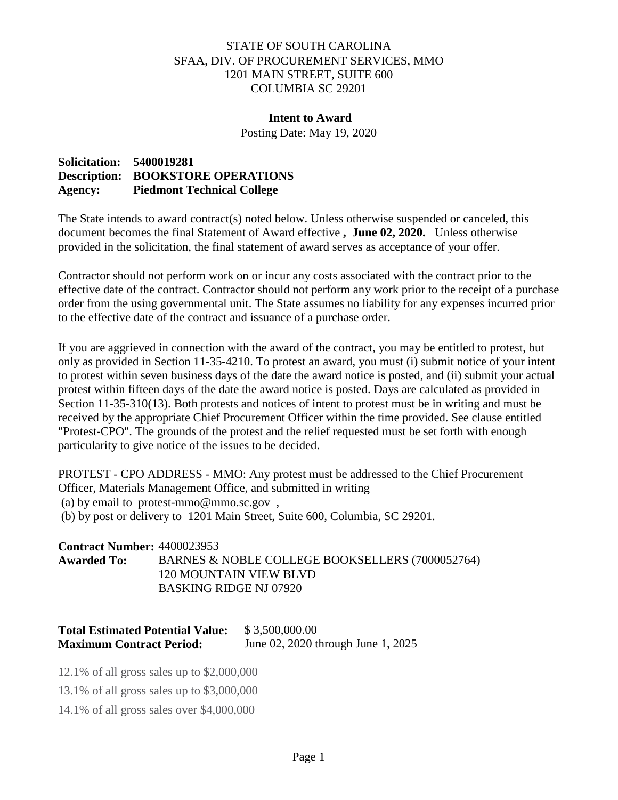## STATE OF SOUTH CAROLINA SFAA, DIV. OF PROCUREMENT SERVICES, MMO 1201 MAIN STREET, SUITE 600 COLUMBIA SC 29201

## **Intent to Award**

Posting Date: May 19, 2020

## **Solicitation: 5400019281 Description: BOOKSTORE OPERATIONS Agency: Piedmont Technical College**

The State intends to award contract(s) noted below. Unless otherwise suspended or canceled, this document becomes the final Statement of Award effective **, June 02, 2020.** Unless otherwise provided in the solicitation, the final statement of award serves as acceptance of your offer.

Contractor should not perform work on or incur any costs associated with the contract prior to the effective date of the contract. Contractor should not perform any work prior to the receipt of a purchase order from the using governmental unit. The State assumes no liability for any expenses incurred prior to the effective date of the contract and issuance of a purchase order.

If you are aggrieved in connection with the award of the contract, you may be entitled to protest, but only as provided in Section 11-35-4210. To protest an award, you must (i) submit notice of your intent to protest within seven business days of the date the award notice is posted, and (ii) submit your actual protest within fifteen days of the date the award notice is posted. Days are calculated as provided in Section 11-35-310(13). Both protests and notices of intent to protest must be in writing and must be received by the appropriate Chief Procurement Officer within the time provided. See clause entitled "Protest-CPO". The grounds of the protest and the relief requested must be set forth with enough particularity to give notice of the issues to be decided.

PROTEST - CPO ADDRESS - MMO: Any protest must be addressed to the Chief Procurement Officer, Materials Management Office, and submitted in writing (a) by email to protest-mmo@mmo.sc.gov , (b) by post or delivery to 1201 Main Street, Suite 600, Columbia, SC 29201.

**Contract Number:** 4400023953 **Awarded To:** BARNES & NOBLE COLLEGE BOOKSELLERS (7000052764) 120 MOUNTAIN VIEW BLVD BASKING RIDGE NJ 07920

## **Total Estimated Potential Value:** \$ 3,500,000.00 **Maximum Contract Period:** June 02, 2020 through June 1, 2025

12.1% of all gross sales up to \$2,000,000

13.1% of all gross sales up to \$3,000,000

14.1% of all gross sales over \$4,000,000